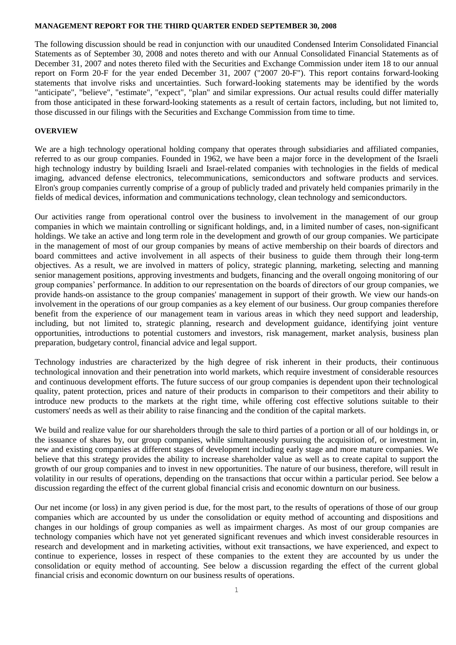#### **MANAGEMENT REPORT FOR THE THIRD QUARTER ENDED SEPTEMBER 30, 2008**

The following discussion should be read in conjunction with our unaudited Condensed Interim Consolidated Financial Statements as of September 30, 2008 and notes thereto and with our Annual Consolidated Financial Statements as of December 31, 2007 and notes thereto filed with the Securities and Exchange Commission under item 18 to our annual report on Form 20-F for the year ended December 31, 2007 ("2007 20-F"). This report contains forward-looking statements that involve risks and uncertainties. Such forward-looking statements may be identified by the words "anticipate", "believe", "estimate", "expect", "plan" and similar expressions. Our actual results could differ materially from those anticipated in these forward-looking statements as a result of certain factors, including, but not limited to, those discussed in our filings with the Securities and Exchange Commission from time to time.

## **OVERVIEW**

We are a high technology operational holding company that operates through subsidiaries and affiliated companies, referred to as our group companies. Founded in 1962, we have been a major force in the development of the Israeli high technology industry by building Israeli and Israel-related companies with technologies in the fields of medical imaging, advanced defense electronics, telecommunications, semiconductors and software products and services. Elron's group companies currently comprise of a group of publicly traded and privately held companies primarily in the fields of medical devices, information and communications technology, clean technology and semiconductors.

Our activities range from operational control over the business to involvement in the management of our group companies in which we maintain controlling or significant holdings, and, in a limited number of cases, non-significant holdings. We take an active and long term role in the development and growth of our group companies. We participate in the management of most of our group companies by means of active membership on their boards of directors and board committees and active involvement in all aspects of their business to guide them through their long-term objectives. As a result, we are involved in matters of policy, strategic planning, marketing, selecting and manning senior management positions, approving investments and budgets, financing and the overall ongoing monitoring of our group companies' performance. In addition to our representation on the boards of directors of our group companies, we provide hands-on assistance to the group companies' management in support of their growth. We view our hands-on involvement in the operations of our group companies as a key element of our business. Our group companies therefore benefit from the experience of our management team in various areas in which they need support and leadership, including, but not limited to, strategic planning, research and development guidance, identifying joint venture opportunities, introductions to potential customers and investors, risk management, market analysis, business plan preparation, budgetary control, financial advice and legal support.

Technology industries are characterized by the high degree of risk inherent in their products, their continuous technological innovation and their penetration into world markets, which require investment of considerable resources and continuous development efforts. The future success of our group companies is dependent upon their technological quality, patent protection, prices and nature of their products in comparison to their competitors and their ability to introduce new products to the markets at the right time, while offering cost effective solutions suitable to their customers' needs as well as their ability to raise financing and the condition of the capital markets.

We build and realize value for our shareholders through the sale to third parties of a portion or all of our holdings in, or the issuance of shares by, our group companies, while simultaneously pursuing the acquisition of, or investment in, new and existing companies at different stages of development including early stage and more mature companies. We believe that this strategy provides the ability to increase shareholder value as well as to create capital to support the growth of our group companies and to invest in new opportunities. The nature of our business, therefore, will result in volatility in our results of operations, depending on the transactions that occur within a particular period. See below a discussion regarding the effect of the current global financial crisis and economic downturn on our business.

Our net income (or loss) in any given period is due, for the most part, to the results of operations of those of our group companies which are accounted by us under the consolidation or equity method of accounting and dispositions and changes in our holdings of group companies as well as impairment charges. As most of our group companies are technology companies which have not yet generated significant revenues and which invest considerable resources in research and development and in marketing activities, without exit transactions, we have experienced, and expect to continue to experience, losses in respect of these companies to the extent they are accounted by us under the consolidation or equity method of accounting. See below a discussion regarding the effect of the current global financial crisis and economic downturn on our business results of operations.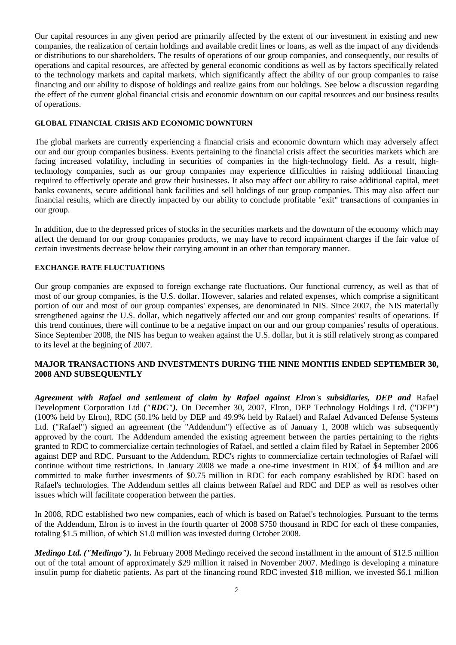Our capital resources in any given period are primarily affected by the extent of our investment in existing and new companies, the realization of certain holdings and available credit lines or loans, as well as the impact of any dividends or distributions to our shareholders. The results of operations of our group companies, and consequently, our results of operations and capital resources, are affected by general economic conditions as well as by factors specifically related to the technology markets and capital markets, which significantly affect the ability of our group companies to raise financing and our ability to dispose of holdings and realize gains from our holdings. See below a discussion regarding the effect of the current global financial crisis and economic downturn on our capital resources and our business results of operations.

## **GLOBAL FINANCIAL CRISIS AND ECONOMIC DOWNTURN**

The global markets are currently experiencing a financial crisis and economic downturn which may adversely affect our and our group companies business. Events pertaining to the financial crisis affect the securities markets which are facing increased volatility, including in securities of companies in the high-technology field. As a result, hightechnology companies, such as our group companies may experience difficulties in raising additional financing required to effectively operate and grow their businesses. It also may affect our ability to raise additional capital, meet banks covanents, secure additional bank facilities and sell holdings of our group companies. This may also affect our financial results, which are directly impacted by our ability to conclude profitable "exit" transactions of companies in our group.

In addition, due to the depressed prices of stocks in the securities markets and the downturn of the economy which may affect the demand for our group companies products, we may have to record impairment charges if the fair value of certain investments decrease below their carrying amount in an other than temporary manner.

## **EXCHANGE RATE FLUCTUATIONS**

Our group companies are exposed to foreign exchange rate fluctuations. Our functional currency, as well as that of most of our group companies, is the U.S. dollar. However, salaries and related expenses, which comprise a significant portion of our and most of our group companies' expenses, are denominated in NIS. Since 2007, the NIS materially strengthened against the U.S. dollar, which negatively affected our and our group companies' results of operations. If this trend continues, there will continue to be a negative impact on our and our group companies' results of operations. Since September 2008, the NIS has begun to weaken against the U.S. dollar, but it is still relatively strong as compared to its level at the begining of 2007.

# **MAJOR TRANSACTIONS AND INVESTMENTS DURING THE NINE MONTHS ENDED SEPTEMBER 30, 2008 AND SUBSEQUENTLY**

*Agreement with Rafael and settlement of claim by Rafael against Elron's subsidiaries, DEP and* Rafael Development Corporation Ltd *("RDC").* On December 30, 2007, Elron, DEP Technology Holdings Ltd. ("DEP") (100% held by Elron), RDC (50.1% held by DEP and 49.9% held by Rafael) and Rafael Advanced Defense Systems Ltd. ("Rafael") signed an agreement (the "Addendum") effective as of January 1, 2008 which was subsequently approved by the court. The Addendum amended the existing agreement between the parties pertaining to the rights granted to RDC to commercialize certain technologies of Rafael, and settled a claim filed by Rafael in September 2006 against DEP and RDC. Pursuant to the Addendum, RDC's rights to commercialize certain technologies of Rafael will continue without time restrictions. In January 2008 we made a one-time investment in RDC of \$4 million and are committed to make further investments of \$0.75 million in RDC for each company established by RDC based on Rafael's technologies. The Addendum settles all claims between Rafael and RDC and DEP as well as resolves other issues which will facilitate cooperation between the parties.

In 2008, RDC established two new companies, each of which is based on Rafael's technologies. Pursuant to the terms of the Addendum, Elron is to invest in the fourth quarter of 2008 \$750 thousand in RDC for each of these companies, totaling \$1.5 million, of which \$1.0 million was invested during October 2008.

*Medingo Ltd. ("Medingo").* In February 2008 Medingo received the second installment in the amount of \$12.5 million out of the total amount of approximately \$29 million it raised in November 2007. Medingo is developing a minature insulin pump for diabetic patients. As part of the financing round RDC invested \$18 million, we invested \$6.1 million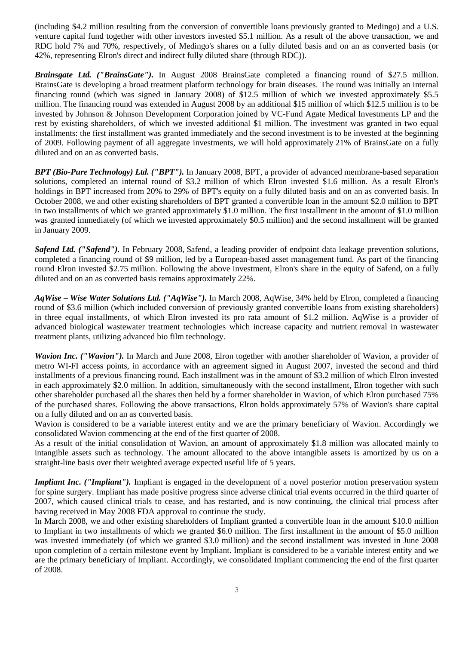(including \$4.2 million resulting from the conversion of convertible loans previously granted to Medingo) and a U.S. venture capital fund together with other investors invested \$5.1 million. As a result of the above transaction, we and RDC hold 7% and 70%, respectively, of Medingo's shares on a fully diluted basis and on an as converted basis (or 42%, representing Elron's direct and indirect fully diluted share (through RDC)).

*Brainsgate Ltd. ("BrainsGate").* In August 2008 BrainsGate completed a financing round of \$27.5 million. BrainsGate is developing a broad treatment platform technology for brain diseases. The round was initially an internal financing round (which was signed in January 2008) of \$12.5 million of which we invested approximately \$5.5 million. The financing round was extended in August 2008 by an additional \$15 million of which \$12.5 million is to be invested by Johnson & Johnson Development Corporation joined by VC-Fund Agate Medical Investments LP and the rest by existing shareholders, of which we invested additional \$1 million. The investment was granted in two equal installments: the first installment was granted immediately and the second investment is to be invested at the beginning of 2009. Following payment of all aggregate investments, we will hold approximately 21% of BrainsGate on a fully diluted and on an as converted basis.

*BPT (Bio-Pure Technology) Ltd. ("BPT").* In January 2008, BPT, a provider of advanced membrane-based separation solutions, completed an internal round of \$3.2 million of which Elron invested \$1.6 million. As a result Elron's holdings in BPT increased from 20% to 29% of BPT's equity on a fully diluted basis and on an as converted basis. In October 2008, we and other existing shareholders of BPT granted a convertible loan in the amount \$2.0 million to BPT in two installments of which we granted approximately \$1.0 million. The first installment in the amount of \$1.0 million was granted immediately (of which we invested approximately \$0.5 million) and the second installment will be granted in January 2009.

*Safend Ltd. ("Safend").* In February 2008, Safend, a leading provider of endpoint data leakage prevention solutions, completed a financing round of \$9 million, led by a European-based asset management fund. As part of the financing round Elron invested \$2.75 million. Following the above investment, Elron's share in the equity of Safend, on a fully diluted and on an as converted basis remains approximately 22%.

*AqWise – Wise Water Solutions Ltd. ("AqWise").* In March 2008, AqWise, 34% held by Elron, completed a financing round of \$3.6 million (which included conversion of previously granted convertible loans from existing shareholders) in three equal installments, of which Elron invested its pro rata amount of \$1.2 million. AqWise is a provider of advanced biological wastewater treatment technologies which increase capacity and nutrient removal in wastewater treatment plants, utilizing advanced bio film technology.

*Wavion Inc. ("Wavion").* In March and June 2008, Elron together with another shareholder of Wavion, a provider of metro WI-FI access points, in accordance with an agreement signed in August 2007, invested the second and third installments of a previous financing round. Each installment was in the amount of \$3.2 million of which Elron invested in each approximately \$2.0 million. In addition, simultaneously with the second installment, Elron together with such other shareholder purchased all the shares then held by a former shareholder in Wavion, of which Elron purchased 75% of the purchased shares. Following the above transactions, Elron holds approximately 57% of Wavion's share capital on a fully diluted and on an as converted basis.

Wavion is considered to be a variable interest entity and we are the primary beneficiary of Wavion. Accordingly we consolidated Wavion commencing at the end of the first quarter of 2008.

As a result of the initial consolidation of Wavion, an amount of approximately \$1.8 million was allocated mainly to intangible assets such as technology. The amount allocated to the above intangible assets is amortized by us on a straight-line basis over their weighted average expected useful life of 5 years.

*Impliant Inc. ("Impliant").* Impliant is engaged in the development of a novel posterior motion preservation system for spine surgery. Impliant has made positive progress since adverse clinical trial events occurred in the third quarter of 2007, which caused clinical trials to cease, and has restarted, and is now continuing, the clinical trial process after having received in May 2008 FDA approval to continue the study.

In March 2008, we and other existing shareholders of Impliant granted a convertible loan in the amount \$10.0 million to Impliant in two installments of which we granted \$6.0 million. The first installment in the amount of \$5.0 million was invested immediately (of which we granted \$3.0 million) and the second installment was invested in June 2008 upon completion of a certain milestone event by Impliant. Impliant is considered to be a variable interest entity and we are the primary beneficiary of Impliant. Accordingly, we consolidated Impliant commencing the end of the first quarter of 2008.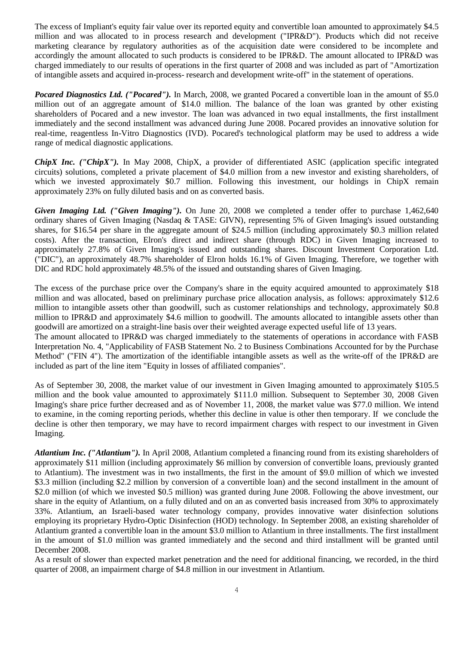The excess of Impliant's equity fair value over its reported equity and convertible loan amounted to approximately \$4.5 million and was allocated to in process research and development ("IPR&D"). Products which did not receive marketing clearance by regulatory authorities as of the acquisition date were considered to be incomplete and accordingly the amount allocated to such products is considered to be IPR&D. The amount allocated to IPR&D was charged immediately to our results of operations in the first quarter of 2008 and was included as part of "Amortization of intangible assets and acquired in-process- research and development write-off" in the statement of operations.

*Pocared Diagnostics Ltd. ("Pocared").* In March, 2008, we granted Pocared a convertible loan in the amount of \$5.0 million out of an aggregate amount of \$14.0 million. The balance of the loan was granted by other existing shareholders of Pocared and a new investor. The loan was advanced in two equal installments, the first installment immediately and the second installment was advanced during June 2008. Pocared provides an innovative solution for real-time, reagentless In-Vitro Diagnostics (IVD). Pocared's technological platform may be used to address a wide range of medical diagnostic applications.

*ChipX Inc. ("ChipX").* In May 2008, ChipX, a provider of differentiated ASIC (application specific integrated circuits) solutions, completed a private placement of \$4.0 million from a new investor and existing shareholders, of which we invested approximately \$0.7 million. Following this investment, our holdings in ChipX remain approximately 23% on fully diluted basis and on as converted basis.

*Given Imaging Ltd. ("Given Imaging").* On June 20, 2008 we completed a tender offer to purchase 1,462,640 ordinary shares of Given Imaging (Nasdaq & TASE: GIVN), representing 5% of Given Imaging's issued outstanding shares, for \$16.54 per share in the aggregate amount of \$24.5 million (including approximately \$0.3 million related costs). After the transaction, Elron's direct and indirect share (through RDC) in Given Imaging increased to approximately 27.8% of Given Imaging's issued and outstanding shares. Discount Investment Corporation Ltd. ("DIC"), an approximately 48.7% shareholder of Elron holds 16.1% of Given Imaging. Therefore, we together with DIC and RDC hold approximately 48.5% of the issued and outstanding shares of Given Imaging.

The excess of the purchase price over the Company's share in the equity acquired amounted to approximately \$18 million and was allocated, based on preliminary purchase price allocation analysis, as follows: approximately \$12.6 million to intangible assets other than goodwill, such as customer relationships and technology, approximately \$0.8 million to IPR&D and approximately \$4.6 million to goodwill. The amounts allocated to intangible assets other than goodwill are amortized on a straight-line basis over their weighted average expected useful life of 13 years.

The amount allocated to IPR&D was charged immediately to the statements of operations in accordance with FASB Interpretation No. 4, "Applicability of FASB Statement No. 2 to Business Combinations Accounted for by the Purchase Method" ("FIN 4"). The amortization of the identifiable intangible assets as well as the write-off of the IPR&D are included as part of the line item "Equity in losses of affiliated companies".

As of September 30, 2008, the market value of our investment in Given Imaging amounted to approximately \$105.5 million and the book value amounted to approximately \$111.0 million. Subsequent to September 30, 2008 Given Imaging's share price further decreased and as of November 11, 2008, the market value was \$77.0 million. We intend to examine, in the coming reporting periods, whether this decline in value is other then temporary. If we conclude the decline is other then temporary, we may have to record impairment charges with respect to our investment in Given Imaging.

*Atlantium Inc. ("Atlantium").* In April 2008, Atlantium completed a financing round from its existing shareholders of approximately \$11 million (including approximately \$6 million by conversion of convertible loans, previously granted to Atlantium). The investment was in two installments, the first in the amount of \$9.0 million of which we invested \$3.3 million (including \$2.2 million by conversion of a convertible loan) and the second installment in the amount of \$2.0 million (of which we invested \$0.5 million) was granted during June 2008. Following the above investment, our share in the equity of Atlantium, on a fully diluted and on an as converted basis increased from 30% to approximately 33%. Atlantium, an Israeli-based water technology company, provides innovative water disinfection solutions employing its proprietary Hydro-Optic Disinfection (HOD) technology. In September 2008, an existing shareholder of Atlantium granted a convertible loan in the amount \$3.0 million to Atlantium in three installments. The first installment in the amount of \$1.0 million was granted immediately and the second and third installment will be granted until December 2008.

As a result of slower than expected market penetration and the need for additional financing, we recorded, in the third quarter of 2008, an impairment charge of \$4.8 million in our investment in Atlantium.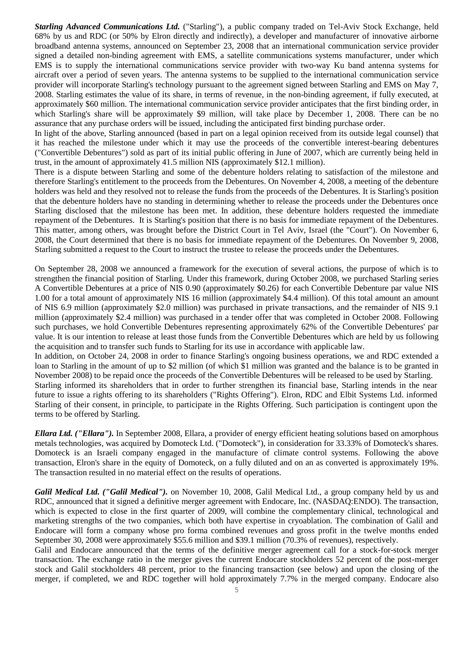*Starling Advanced Communications Ltd.* ("Starling"), a public company traded on Tel-Aviv Stock Exchange, held 68% by us and RDC (or 50% by Elron directly and indirectly), a developer and manufacturer of innovative airborne broadband antenna systems, announced on September 23, 2008 that an international communication service provider signed a detailed non-binding agreement with EMS, a satellite communications systems manufacturer, under which EMS is to supply the international communications service provider with two-way Ku band antenna systems for aircraft over a period of seven years. The antenna systems to be supplied to the international communication service provider will incorporate Starling's technology pursuant to the agreement signed between Starling and EMS on May 7, 2008. Starling estimates the value of its share, in terms of revenue, in the non-binding agreement, if fully executed, at approximately \$60 million. The international communication service provider anticipates that the first binding order, in which Starling's share will be approximately \$9 million, will take place by December 1, 2008. There can be no assurance that any purchase orders will be issued, including the anticipated first binding purchase order.

In light of the above, Starling announced (based in part on a legal opinion received from its outside legal counsel) that it has reached the milestone under which it may use the proceeds of the convertible interest-bearing debentures ("Convertible Debentures") sold as part of its initial public offering in June of 2007, which are currently being held in trust, in the amount of approximately 41.5 million NIS (approximately \$12.1 million).

There is a dispute between Starling and some of the debenture holders relating to satisfaction of the milestone and therefore Starling's entitlement to the proceeds from the Debentures. On November 4, 2008, a meeting of the debenture holders was held and they resolved not to release the funds from the proceeds of the Debentures. It is Starling's position that the debenture holders have no standing in determining whether to release the proceeds under the Debentures once Starling disclosed that the milestone has been met. In addition, these debenture holders requested the immediate repayment of the Debentures. It is Starling's position that there is no basis for immediate repayment of the Debentures. This matter, among others, was brought before the District Court in Tel Aviv, Israel (the "Court"). On November 6, 2008, the Court determined that there is no basis for immediate repayment of the Debentures. On November 9, 2008, Starling submitted a request to the Court to instruct the trustee to release the proceeds under the Debentures.

On September 28, 2008 we announced a framework for the execution of several actions, the purpose of which is to strengthen the financial position of Starling. Under this framework, during October 2008, we purchased Starling series A Convertible Debentures at a price of NIS 0.90 (approximately \$0.26) for each Convertible Debenture par value NIS 1.00 for a total amount of approximately NIS 16 million (approximately \$4.4 million). Of this total amount an amount of NIS 6.9 million (approximately \$2.0 million) was purchased in private transactions, and the remainder of NIS 9.1 million (approximately \$2.4 million) was purchased in a tender offer that was completed in October 2008. Following such purchases, we hold Convertible Debentures representing approximately 62% of the Convertible Debentures' par value. It is our intention to release at least those funds from the Convertible Debentures which are held by us following the acquisition and to transfer such funds to Starling for its use in accordance with applicable law.

In addition, on October 24, 2008 in order to finance Starling's ongoing business operations, we and RDC extended a loan to Starling in the amount of up to \$2 million (of which \$1 million was granted and the balance is to be granted in November 2008) to be repaid once the proceeds of the Convertible Debentures will be released to be used by Starling. Starling informed its shareholders that in order to further strengthen its financial base, Starling intends in the near

future to issue a rights offering to its shareholders ("Rights Offering"). Elron, RDC and Elbit Systems Ltd. informed Starling of their consent, in principle, to participate in the Rights Offering. Such participation is contingent upon the terms to be offered by Starling.

*Ellara Ltd. ("Ellara").* In September 2008, Ellara, a provider of energy efficient heating solutions based on amorphous metals technologies, was acquired by Domoteck Ltd. ("Domoteck"), in consideration for 33.33% of Domoteck's shares. Domoteck is an Israeli company engaged in the manufacture of climate control systems. Following the above transaction, Elron's share in the equity of Domoteck, on a fully diluted and on an as converted is approximately 19%. The transaction resulted in no material effect on the results of operations.

*Galil Medical Ltd. ("Galil Medical").* on November 10, 2008, Galil Medical Ltd., a group company held by us and RDC, announced that it signed a definitive merger agreement with Endocare, Inc. (NASDAQ:ENDO). The transaction, which is expected to close in the first quarter of 2009, will combine the complementary clinical, technological and marketing strengths of the two companies, which both have expertise in cryoablation. The combination of Galil and Endocare will form a company whose pro forma combined revenues and gross profit in the twelve months ended September 30, 2008 were approximately \$55.6 million and \$39.1 million (70.3% of revenues), respectively.

Galil and Endocare announced that the terms of the definitive merger agreement call for a stock-for-stock merger transaction. The exchange ratio in the merger gives the current Endocare stockholders 52 percent of the post-merger stock and Galil stockholders 48 percent, prior to the financing transaction (see below) and upon the closing of the merger, if completed, we and RDC together will hold approximately 7.7% in the merged company. Endocare also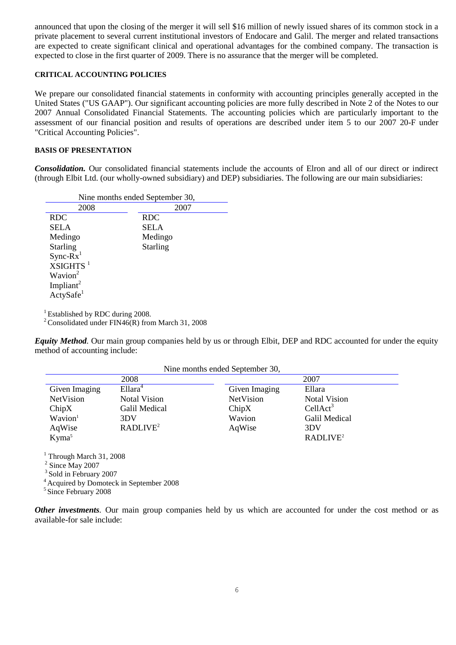announced that upon the closing of the merger it will sell \$16 million of newly issued shares of its common stock in a private placement to several current institutional investors of Endocare and Galil. The merger and related transactions are expected to create significant clinical and operational advantages for the combined company. The transaction is expected to close in the first quarter of 2009. There is no assurance that the merger will be completed.

## **CRITICAL ACCOUNTING POLICIES**

We prepare our consolidated financial statements in conformity with accounting principles generally accepted in the United States ("US GAAP"). Our significant accounting policies are more fully described in Note 2 of the Notes to our 2007 Annual Consolidated Financial Statements. The accounting policies which are particularly important to the assessment of our financial position and results of operations are described under item 5 to our 2007 20-F under "Critical Accounting Policies".

### **BASIS OF PRESENTATION**

*Consolidation.* Our consolidated financial statements include the accounts of Elron and all of our direct or indirect (through Elbit Ltd. (our wholly-owned subsidiary) and DEP) subsidiaries. The following are our main subsidiaries:

| Nine months ended September 30, |                 |  |  |
|---------------------------------|-----------------|--|--|
| 2008                            | 2007            |  |  |
| <b>RDC</b>                      | <b>RDC</b>      |  |  |
| SELA                            | <b>SELA</b>     |  |  |
| Medingo                         | Medingo         |  |  |
| <b>Starling</b>                 | <b>Starling</b> |  |  |
| $Sync-Rx1$                      |                 |  |  |
| $XSIGHTS$ <sup>1</sup>          |                 |  |  |
| Wavion <sup>2</sup>             |                 |  |  |
| Impliant <sup>2</sup>           |                 |  |  |
| $Ac$ tySafe <sup>1</sup>        |                 |  |  |
|                                 |                 |  |  |

<sup>1</sup> Established by RDC during 2008.

<sup>2</sup> Consolidated under FIN46(R) from March 31, 2008

*Equity Method.* Our main group companies held by us or through Elbit, DEP and RDC accounted for under the equity method of accounting include:

| Nine months ended September 30, |                      |                  |                      |
|---------------------------------|----------------------|------------------|----------------------|
|                                 | 2008                 |                  | 2007                 |
| Given Imaging                   | Ellara <sup>4</sup>  | Given Imaging    | Ellara               |
| NetVision                       | <b>Notal Vision</b>  | <b>NetVision</b> | <b>Notal Vision</b>  |
| ChipX                           | Galil Medical        | ChipX            | CellAct <sup>3</sup> |
| Wavion <sup>1</sup>             | 3DV                  | Wavion           | Galil Medical        |
| AqWise                          | RADLIVE <sup>2</sup> | AqWise           | 3DV                  |
| Kyma <sup>5</sup>               |                      |                  | RADLIVE <sup>2</sup> |

 $1$  Through March 31, 2008

<sup>2</sup> Since May 2007

<sup>3</sup> Sold in February 2007

<sup>4</sup> Acquired by Domoteck in September 2008

5 Since February 2008

*Other investments.* Our main group companies held by us which are accounted for under the cost method or as available-for sale include: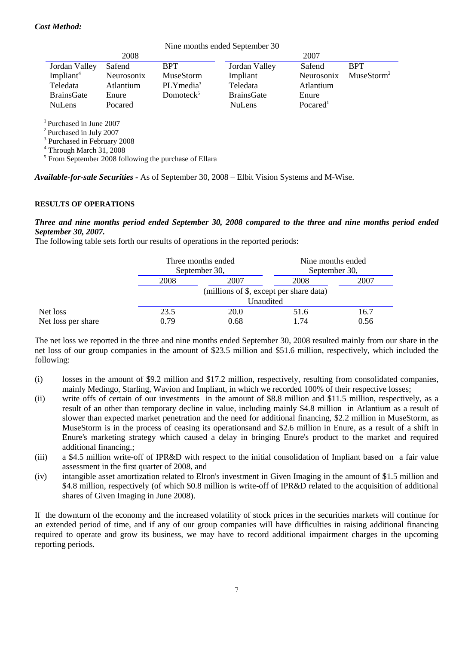# *Cost Method:*

|                                         |            |                                                                   | Nine months ended September 30 |                      |                        |
|-----------------------------------------|------------|-------------------------------------------------------------------|--------------------------------|----------------------|------------------------|
|                                         | 2008       |                                                                   |                                | 2007                 |                        |
| Jordan Valley                           | Safend     | <b>BPT</b>                                                        | Jordan Valley                  | Safend               | <b>BPT</b>             |
| Impliant <sup>4</sup>                   | Neurosonix | MuseStorm                                                         | Impliant                       | Neurosonix           | MuseStorm <sup>2</sup> |
| Teledata                                | Atlantium  | $PLY$ media <sup>3</sup>                                          | Teledata                       | Atlantium            |                        |
| <b>BrainsGate</b>                       | Enure      | Domotec $k^5$                                                     | <b>BrainsGate</b>              | Enure                |                        |
| <b>NuLens</b>                           | Pocared    |                                                                   | <b>NuLens</b>                  | Pocared <sup>1</sup> |                        |
| <sup>1</sup> Purchased in June 2007     |            |                                                                   |                                |                      |                        |
| $2$ Purchased in July 2007              |            |                                                                   |                                |                      |                        |
| <sup>3</sup> Purchased in February 2008 |            |                                                                   |                                |                      |                        |
| $4$ Through March 31, 2008              |            |                                                                   |                                |                      |                        |
|                                         |            | <sup>5</sup> From September 2008 following the purchase of Ellara |                                |                      |                        |

*Available-for-sale Securities -* As of September 30, 2008 – Elbit Vision Systems and M-Wise.

#### **RESULTS OF OPERATIONS**

## *Three and nine months period ended September 30, 2008 compared to the three and nine months period ended September 30, 2007.*

The following table sets forth our results of operations in the reported periods:

|                    |                                         | Three months ended<br>September 30, |      | Nine months ended |  |
|--------------------|-----------------------------------------|-------------------------------------|------|-------------------|--|
|                    |                                         |                                     |      | September 30,     |  |
|                    | 2008                                    | 2007                                | 2008 | 2007              |  |
|                    | (millions of \$, except per share data) |                                     |      |                   |  |
|                    |                                         | Unaudited                           |      |                   |  |
| Net loss           | 23.5                                    | <b>20.0</b>                         | 51.6 | 16.7              |  |
| Net loss per share | 0.79                                    | 0.68                                | 1.74 | 0.56              |  |

The net loss we reported in the three and nine months ended September 30, 2008 resulted mainly from our share in the net loss of our group companies in the amount of \$23.5 million and \$51.6 million, respectively, which included the following:

- (i) losses in the amount of \$9.2 million and \$17.2 million, respectively, resulting from consolidated companies, mainly Medingo, Starling, Wavion and Impliant, in which we recorded 100% of their respective losses;
- (ii) write offs of certain of our investments in the amount of \$8.8 million and \$11.5 million, respectively, as a result of an other than temporary decline in value, including mainly \$4.8 million in Atlantium as a result of slower than expected market penetration and the need for additional financing, \$2.2 million in MuseStorm, as MuseStorm is in the process of ceasing its operationsand and \$2.6 million in Enure, as a result of a shift in Enure's marketing strategy which caused a delay in bringing Enure's product to the market and required additional financing.;
- (iii) a \$4.5 million write-off of IPR&D with respect to the initial consolidation of Impliant based on a fair value assessment in the first quarter of 2008, and
- (iv) intangible asset amortization related to Elron's investment in Given Imaging in the amount of \$1.5 million and \$4.8 million, respectively (of which \$0.8 million is write-off of IPR&D related to the acquisition of additional shares of Given Imaging in June 2008).

If the downturn of the economy and the increased volatility of stock prices in the securities markets will continue for an extended period of time, and if any of our group companies will have difficulties in raising additional financing required to operate and grow its business, we may have to record additional impairment charges in the upcoming reporting periods.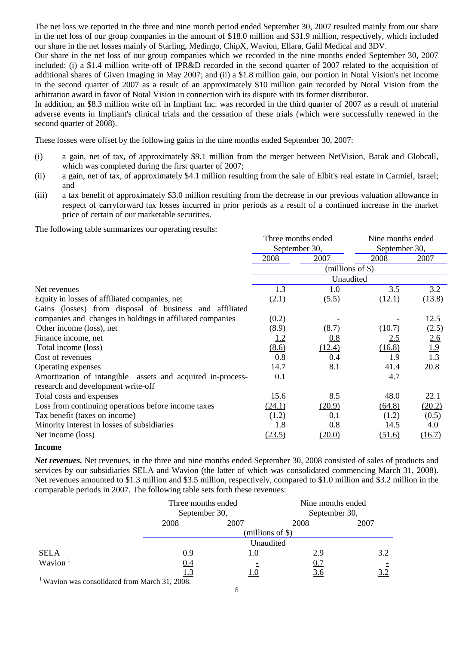The net loss we reported in the three and nine month period ended September 30, 2007 resulted mainly from our share in the net loss of our group companies in the amount of \$18.0 million and \$31.9 million, respectively, which included our share in the net losses mainly of Starling, Medingo, ChipX, Wavion, Ellara, Galil Medical and 3DV.

Our share in the net loss of our group companies which we recorded in the nine months ended September 30, 2007 included: (i) a \$1.4 million write-off of IPR&D recorded in the second quarter of 2007 related to the acquisition of additional shares of Given Imaging in May 2007; and (ii) a \$1.8 million gain, our portion in Notal Vision's net income in the second quarter of 2007 as a result of an approximately \$10 million gain recorded by Notal Vision from the arbitration award in favor of Notal Vision in connection with its dispute with its former distributor.

In addition, an \$8.3 million write off in Impliant Inc. was recorded in the third quarter of 2007 as a result of material adverse events in Impliant's clinical trials and the cessation of these trials (which were successfully renewed in the second quarter of 2008).

These losses were offset by the following gains in the nine months ended September 30, 2007:

- (i) a gain, net of tax, of approximately \$9.1 million from the merger between NetVision, Barak and Globcall, which was completed during the first quarter of 2007;
- (ii) a gain, net of tax, of approximately \$4.1 million resulting from the sale of Elbit's real estate in Carmiel, Israel; and
- (iii) a tax benefit of approximately \$3.0 million resulting from the decrease in our previous valuation allowance in respect of carryforward tax losses incurred in prior periods as a result of a continued increase in the market price of certain of our marketable securities.

The following table summarizes our operating results:

|                                                            | Three months ended |                     | Nine months ended |                          |
|------------------------------------------------------------|--------------------|---------------------|-------------------|--------------------------|
|                                                            | September 30,      |                     | September 30,     |                          |
|                                                            | 2008               | 2007                | 2008              | 2007                     |
|                                                            |                    | $(millions of \$))$ |                   |                          |
|                                                            |                    | Unaudited           |                   |                          |
| Net revenues                                               | 1.3                | 1.0                 | 3.5               | 3.2                      |
| Equity in losses of affiliated companies, net              | (2.1)              | (5.5)               | (12.1)            | (13.8)                   |
| Gains (losses) from disposal of business and affiliated    |                    |                     |                   |                          |
| companies and changes in holdings in affiliated companies  | (0.2)              |                     |                   | 12.5                     |
| Other income (loss), net                                   | (8.9)              | (8.7)               | (10.7)            | (2.5)                    |
| Finance income, net                                        | <u>1.2</u>         | 0.8                 | 2.5               | $\frac{2.6}{1.9}$<br>1.3 |
| Total income (loss)                                        | (8.6)              | (12.4)              | (16.8)            |                          |
| Cost of revenues                                           | 0.8                | 0.4                 | 1.9               |                          |
| Operating expenses                                         | 14.7               | 8.1                 | 41.4              | 20.8                     |
| Amortization of intangible assets and acquired in-process- | 0.1                |                     | 4.7               |                          |
| research and development write-off                         |                    |                     |                   |                          |
| Total costs and expenses                                   | 15.6               | 8.5                 | 48.0              | <u>22.1</u>              |
| Loss from continuing operations before income taxes        | (24.1)             | (20.9)              | (64.8)            | (20.2)                   |
| Tax benefit (taxes on income)                              | (1.2)              | 0.1                 | (1.2)             | (0.5)                    |
| Minority interest in losses of subsidiaries                | <u>1.8</u>         | 0.8                 | <u>14.5</u>       | 4.0                      |
| Net income (loss)                                          | (23.5)             | (20.0)              | (51.6)            | (16.7)                   |

#### **Income**

*Net revenues.* Net revenues, in the three and nine months ended September 30, 2008 consisted of sales of products and services by our subsidiaries SELA and Wavion (the latter of which was consolidated commencing March 31, 2008). Net revenues amounted to \$1.3 million and \$3.5 million, respectively, compared to \$1.0 million and \$3.2 million in the comparable periods in 2007. The following table sets forth these revenues:

|             |      | Three months ended<br>September 30, |      | Nine months ended<br>September 30, |
|-------------|------|-------------------------------------|------|------------------------------------|
|             | 2008 | 2007                                | 2008 | 2007                               |
|             |      | (millions of \$)                    |      |                                    |
|             |      | Unaudited                           |      |                                    |
| <b>SELA</b> | 0.9  |                                     | 2.9  | 3.2                                |
| Wavion $1$  | 0.4  |                                     | 0.7  |                                    |
|             | 1.3  |                                     | 3.6  |                                    |

<sup>1</sup>Wavion was consolidated from March 31, 2008.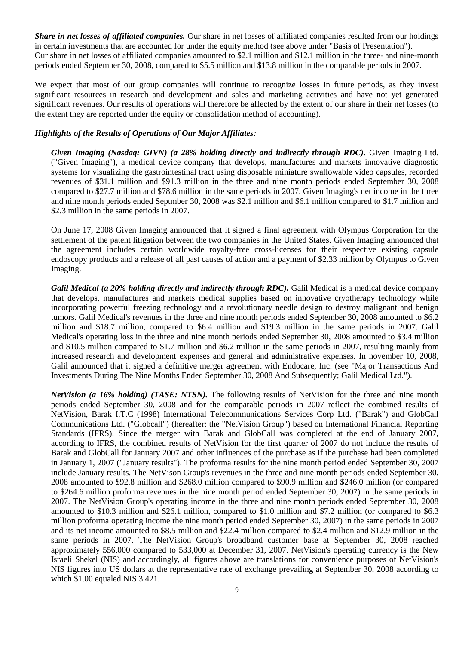*Share in net losses of affiliated companies.* Our share in net losses of affiliated companies resulted from our holdings in certain investments that are accounted for under the equity method (see above under "Basis of Presentation"). Our share in net losses of affiliated companies amounted to \$2.1 million and \$12.1 million in the three- and nine-month periods ended September 30, 2008, compared to \$5.5 million and \$13.8 million in the comparable periods in 2007.

We expect that most of our group companies will continue to recognize losses in future periods, as they invest significant resources in research and development and sales and marketing activities and have not yet generated significant revenues. Our results of operations will therefore be affected by the extent of our share in their net losses (to the extent they are reported under the equity or consolidation method of accounting).

## *Highlights of the Results of Operations of Our Major Affiliates:*

*Given Imaging (Nasdaq: GIVN) (a 28% holding directly and indirectly through RDC).* Given Imaging Ltd. ("Given Imaging"), a medical device company that develops, manufactures and markets innovative diagnostic systems for visualizing the gastrointestinal tract using disposable miniature swallowable video capsules, recorded revenues of \$31.1 million and \$91.3 million in the three and nine month periods ended September 30, 2008 compared to \$27.7 million and \$78.6 million in the same periods in 2007. Given Imaging's net income in the three and nine month periods ended Septmber 30, 2008 was \$2.1 million and \$6.1 million compared to \$1.7 million and \$2.3 million in the same periods in 2007.

On June 17, 2008 Given Imaging announced that it signed a final agreement with Olympus Corporation for the settlement of the patent litigation between the two companies in the United States. Given Imaging announced that the agreement includes certain worldwide royalty-free cross-licenses for their respective existing capsule endoscopy products and a release of all past causes of action and a payment of \$2.33 million by Olympus to Given Imaging.

*Galil Medical (a 20% holding directly and indirectly through RDC).* Galil Medical is a medical device company that develops, manufactures and markets medical supplies based on innovative cryotherapy technology while incorporating powerful freezing technology and a revolutionary needle design to destroy malignant and benign tumors. Galil Medical's revenues in the three and nine month periods ended September 30, 2008 amounted to \$6.2 million and \$18.7 million, compared to \$6.4 million and \$19.3 million in the same periods in 2007. Galil Medical's operating loss in the three and nine month periods ended September 30, 2008 amounted to \$3.4 million and \$10.5 million compared to \$1.7 million and \$6.2 million in the same periods in 2007, resulting mainly from increased research and development expenses and general and administrative expenses. In november 10, 2008, Galil announced that it signed a definitive merger agreement with Endocare, Inc. (see "Major Transactions And Investments During The Nine Months Ended September 30, 2008 And Subsequently; Galil Medical Ltd.").

*NetVision (a 16% holding) (TASE: NTSN)*. The following results of NetVision for the three and nine month periods ended September 30, 2008 and for the comparable periods in 2007 reflect the combined results of NetVision, Barak I.T.C (1998) International Telecommunications Services Corp Ltd. ("Barak") and GlobCall Communications Ltd. ("Globcall") (hereafter: the "NetVision Group") based on International Financial Reporting Standards (IFRS). Since the merger with Barak and GlobCall was completed at the end of January 2007, according to IFRS, the combined results of NetVision for the first quarter of 2007 do not include the results of Barak and GlobCall for January 2007 and other influences of the purchase as if the purchase had been completed in January 1, 2007 ("January results"). The proforma results for the nine month period ended September 30, 2007 include January results. The NetVison Group's revenues in the three and nine month periods ended September 30, 2008 amounted to \$92.8 million and \$268.0 million compared to \$90.9 million and \$246.0 million (or compared to \$264.6 million proforma revenues in the nine month period ended September 30, 2007) in the same periods in 2007. The NetVision Group's operating income in the three and nine month periods ended September 30, 2008 amounted to \$10.3 million and \$26.1 million, compared to \$1.0 million and \$7.2 million (or compared to \$6.3 million proforma operating income the nine month period ended September 30, 2007) in the same periods in 2007 and its net income amounted to \$8.5 million and \$22.4 million compared to \$2.4 million and \$12.9 million in the same periods in 2007. The NetVision Group's broadband customer base at September 30, 2008 reached approximately 556,000 compared to 533,000 at December 31, 2007. NetVision's operating currency is the New Israeli Shekel (NIS) and accordingly, all figures above are translations for convenience purposes of NetVision's NIS figures into US dollars at the representative rate of exchange prevailing at September 30, 2008 according to which \$1.00 equaled NIS 3.421.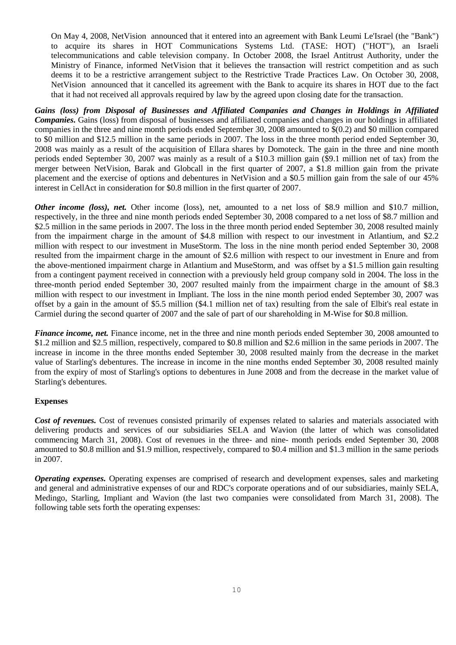On May 4, 2008, NetVision announced that it entered into an agreement with Bank Leumi Le'Israel (the "Bank") to acquire its shares in HOT Communications Systems Ltd. (TASE: HOT) ("HOT"), an Israeli telecommunications and cable television company. In October 2008, the Israel Antitrust Authority, under the Ministry of Finance, informed NetVision that it believes the transaction will restrict competition and as such deems it to be a restrictive arrangement subject to the Restrictive Trade Practices Law. On October 30, 2008, NetVision announced that it cancelled its agreement with the Bank to acquire its shares in HOT due to the fact that it had not received all approvals required by law by the agreed upon closing date for the transaction.

*Gains (loss) from Disposal of Businesses and Affiliated Companies and Changes in Holdings in Affiliated Companies.* Gains (loss) from disposal of businesses and affiliated companies and changes in our holdings in affiliated companies in the three and nine month periods ended September 30, 2008 amounted to \$(0.2) and \$0 million compared to \$0 million and \$12.5 million in the same periods in 2007. The loss in the three month period ended September 30, 2008 was mainly as a result of the acquisition of Ellara shares by Domoteck. The gain in the three and nine month periods ended September 30, 2007 was mainly as a result of a \$10.3 million gain (\$9.1 million net of tax) from the merger between NetVision, Barak and Globcall in the first quarter of 2007, a \$1.8 million gain from the private placement and the exercise of options and debentures in NetVision and a \$0.5 million gain from the sale of our 45% interest in CellAct in consideration for \$0.8 million in the first quarter of 2007.

*Other income (loss), net.* Other income (loss), net, amounted to a net loss of \$8.9 million and \$10.7 million, respectively, in the three and nine month periods ended September 30, 2008 compared to a net loss of \$8.7 million and \$2.5 million in the same periods in 2007. The loss in the three month period ended September 30, 2008 resulted mainly from the impairment charge in the amount of \$4.8 million with respect to our investment in Atlantium, and \$2.2 million with respect to our investment in MuseStorm. The loss in the nine month period ended September 30, 2008 resulted from the impairment charge in the amount of \$2.6 million with respect to our investment in Enure and from the above-mentioned impairment charge in Atlantium and MuseStorm, and was offset by a \$1.5 million gain resulting from a contingent payment received in connection with a previously held group company sold in 2004. The loss in the three-month period ended September 30, 2007 resulted mainly from the impairment charge in the amount of \$8.3 million with respect to our investment in Impliant. The loss in the nine month period ended September 30, 2007 was offset by a gain in the amount of \$5.5 million (\$4.1 million net of tax) resulting from the sale of Elbit's real estate in Carmiel during the second quarter of 2007 and the sale of part of our shareholding in M-Wise for \$0.8 million.

*Finance income, net.* Finance income, net in the three and nine month periods ended September 30, 2008 amounted to \$1.2 million and \$2.5 million, respectively, compared to \$0.8 million and \$2.6 million in the same periods in 2007. The increase in income in the three months ended September 30, 2008 resulted mainly from the decrease in the market value of Starling's debentures. The increase in income in the nine months ended September 30, 2008 resulted mainly from the expiry of most of Starling's options to debentures in June 2008 and from the decrease in the market value of Starling's debentures.

## **Expenses**

*Cost of revenues.* Cost of revenues consisted primarily of expenses related to salaries and materials associated with delivering products and services of our subsidiaries SELA and Wavion (the latter of which was consolidated commencing March 31, 2008). Cost of revenues in the three- and nine- month periods ended September 30, 2008 amounted to \$0.8 million and \$1.9 million, respectively, compared to \$0.4 million and \$1.3 million in the same periods in 2007.

*Operating expenses.* Operating expenses are comprised of research and development expenses, sales and marketing and general and administrative expenses of our and RDC's corporate operations and of our subsidiaries, mainly SELA, Medingo, Starling, Impliant and Wavion (the last two companies were consolidated from March 31, 2008). The following table sets forth the operating expenses: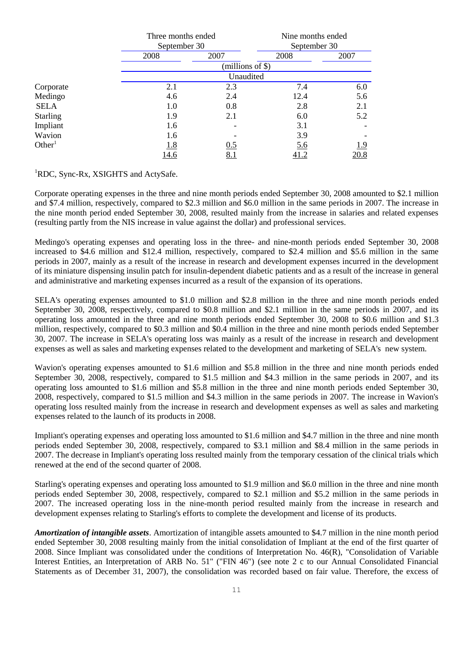|                    | Three months ended |                     | Nine months ended |              |
|--------------------|--------------------|---------------------|-------------------|--------------|
|                    |                    | September 30        |                   | September 30 |
|                    | 2008               | 2007                | 2008              | 2007         |
|                    |                    | $(millions of \$))$ |                   |              |
|                    |                    | Unaudited           |                   |              |
| Corporate          | 2.1                | 2.3                 | 7.4               | 6.0          |
| Medingo            | 4.6                | 2.4                 | 12.4              | 5.6          |
| <b>SELA</b>        | 1.0                | 0.8                 | 2.8               | 2.1          |
| <b>Starling</b>    | 1.9                | 2.1                 | 6.0               | 5.2          |
| Impliant           | 1.6                |                     | 3.1               |              |
| Wavion             | 1.6                |                     | 3.9               |              |
| Other <sup>1</sup> | 1.8                | 0.5                 | <u>5.6</u>        | 1.9          |
|                    | 14.6               | 8.1                 | 41.2              | 20.8         |

<sup>1</sup>RDC, Sync-Rx, XSIGHTS and ActySafe.

Corporate operating expenses in the three and nine month periods ended September 30, 2008 amounted to \$2.1 million and \$7.4 million, respectively, compared to \$2.3 million and \$6.0 million in the same periods in 2007. The increase in the nine month period ended September 30, 2008, resulted mainly from the increase in salaries and related expenses (resulting partly from the NIS increase in value against the dollar) and professional services.

Medingo's operating expenses and operating loss in the three- and nine-month periods ended September 30, 2008 increased to \$4.6 million and \$12.4 million, respectively, compared to \$2.4 million and \$5.6 million in the same periods in 2007, mainly as a result of the increase in research and development expenses incurred in the development of its miniature dispensing insulin patch for insulin-dependent diabetic patients and as a result of the increase in general and administrative and marketing expenses incurred as a result of the expansion of its operations.

SELA's operating expenses amounted to \$1.0 million and \$2.8 million in the three and nine month periods ended September 30, 2008, respectively, compared to \$0.8 million and \$2.1 million in the same periods in 2007, and its operating loss amounted in the three and nine month periods ended September 30, 2008 to \$0.6 million and \$1.3 million, respectively, compared to \$0.3 million and \$0.4 million in the three and nine month periods ended September 30, 2007. The increase in SELA's operating loss was mainly as a result of the increase in research and development expenses as well as sales and marketing expenses related to the development and marketing of SELA's new system.

Wavion's operating expenses amounted to \$1.6 million and \$5.8 million in the three and nine month periods ended September 30, 2008, respectively, compared to \$1.5 million and \$4.3 million in the same periods in 2007, and its operating loss amounted to \$1.6 million and \$5.8 million in the three and nine month periods ended September 30, 2008, respectively, compared to \$1.5 million and \$4.3 million in the same periods in 2007. The increase in Wavion's operating loss resulted mainly from the increase in research and development expenses as well as sales and marketing expenses related to the launch of its products in 2008.

Impliant's operating expenses and operating loss amounted to \$1.6 million and \$4.7 million in the three and nine month periods ended September 30, 2008, respectively, compared to \$3.1 million and \$8.4 million in the same periods in 2007. The decrease in Impliant's operating loss resulted mainly from the temporary cessation of the clinical trials which renewed at the end of the second quarter of 2008.

Starling's operating expenses and operating loss amounted to \$1.9 million and \$6.0 million in the three and nine month periods ended September 30, 2008, respectively, compared to \$2.1 million and \$5.2 million in the same periods in 2007. The increased operating loss in the nine-month period resulted mainly from the increase in research and development expenses relating to Starling's efforts to complete the development and license of its products.

*Amortization of intangible assets*. Amortization of intangible assets amounted to \$4.7 million in the nine month period ended September 30, 2008 resulting mainly from the initial consolidation of Impliant at the end of the first quarter of 2008. Since Impliant was consolidated under the conditions of Interpretation No. 46(R), "Consolidation of Variable Interest Entities, an Interpretation of ARB No. 51" ("FIN 46") (see note 2 c to our Annual Consolidated Financial Statements as of December 31, 2007), the consolidation was recorded based on fair value. Therefore, the excess of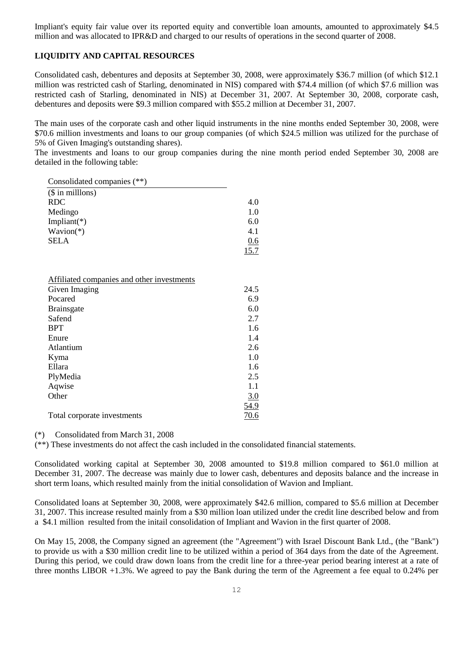Impliant's equity fair value over its reported equity and convertible loan amounts, amounted to approximately \$4.5 million and was allocated to IPR&D and charged to our results of operations in the second quarter of 2008.

## **LIQUIDITY AND CAPITAL RESOURCES**

Consolidated cash, debentures and deposits at September 30, 2008, were approximately \$36.7 million (of which \$12.1 million was restricted cash of Starling, denominated in NIS) compared with \$74.4 million (of which \$7.6 million was restricted cash of Starling, denominated in NIS) at December 31, 2007. At September 30, 2008, corporate cash, debentures and deposits were \$9.3 million compared with \$55.2 million at December 31, 2007.

The main uses of the corporate cash and other liquid instruments in the nine months ended September 30, 2008, were \$70.6 million investments and loans to our group companies (of which \$24.5 million was utilized for the purchase of 5% of Given Imaging's outstanding shares).

The investments and loans to our group companies during the nine month period ended September 30, 2008 are detailed in the following table:

| Consolidated companies (**) |      |
|-----------------------------|------|
| $($$ in millons)            |      |
| <b>RDC</b>                  | 4.0  |
| Medingo                     | 1.0  |
| Impliant( $*$ )             | 6.0  |
| $W$ avion $(*)$             | 4.1  |
| <b>SELA</b>                 | 0.6  |
|                             | 15.7 |

| Affiliated companies and other investments |             |
|--------------------------------------------|-------------|
| Given Imaging                              | 24.5        |
| Pocared                                    | 6.9         |
| <b>Brainsgate</b>                          | 6.0         |
| Safend                                     | 2.7         |
| <b>BPT</b>                                 | 1.6         |
| Enure                                      | 1.4         |
| Atlantium                                  | 2.6         |
| Kyma                                       | 1.0         |
| Ellara                                     | 1.6         |
| PlyMedia                                   | 2.5         |
| Aqwise                                     | 1.1         |
| Other                                      | 3.0         |
|                                            | <u>54.9</u> |
| Total corporate investments                | 70.6        |

(\*) Consolidated from March 31, 2008

(\*\*) These investments do not affect the cash included in the consolidated financial statements.

Consolidated working capital at September 30, 2008 amounted to \$19.8 million compared to \$61.0 million at December 31, 2007. The decrease was mainly due to lower cash, debentures and deposits balance and the increase in short term loans, which resulted mainly from the initial consolidation of Wavion and Impliant.

Consolidated loans at September 30, 2008, were approximately \$42.6 million, compared to \$5.6 million at December 31, 2007. This increase resulted mainly from a \$30 million loan utilized under the credit line described below and from a \$4.1 million resulted from the initail consolidation of Impliant and Wavion in the first quarter of 2008.

On May 15, 2008, the Company signed an agreement (the "Agreement") with Israel Discount Bank Ltd., (the "Bank") to provide us with a \$30 million credit line to be utilized within a period of 364 days from the date of the Agreement. During this period, we could draw down loans from the credit line for a three-year period bearing interest at a rate of three months LIBOR +1.3%. We agreed to pay the Bank during the term of the Agreement a fee equal to 0.24% per